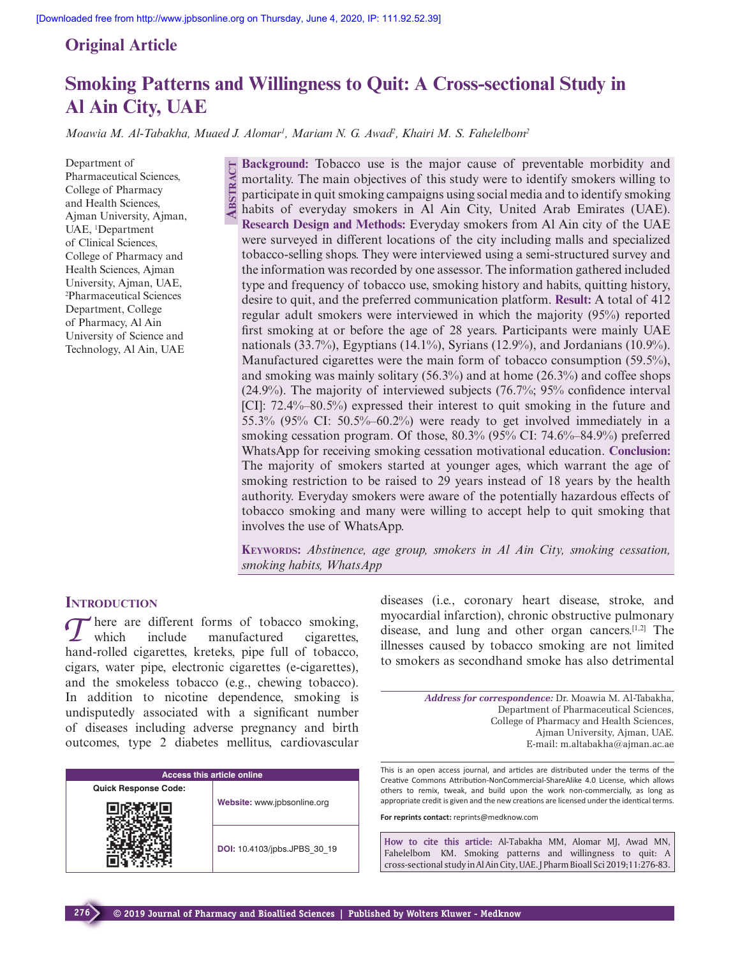**Abstr**

**act**

# **Original Article**

# **Smoking Patterns and Willingness to Quit: A Cross-sectional Study in Al Ain City, UAE**

*Moawia M. Al-Tabakha, Muaed J. Alomar1 , Mariam N. G. Awad2 , Khairi M. S. Fahelelbom2*

Department of Pharmaceutical Sciences, College of Pharmacy and Health Sciences, Ajman University, Ajman, UAE, 1 Department of Clinical Sciences, College of Pharmacy and Health Sciences, Ajman University, Ajman, UAE, 2 Pharmaceutical Sciences Department, College of Pharmacy, Al Ain University of Science and Technology, Al Ain, UAE

**Background:** Tobacco use is the major cause of preventable morbidity and mortality. The main objectives of this study were to identify smokers willing to participate in quit smoking campaigns using social media and to identify smoking habits of everyday smokers in Al Ain City, United Arab Emirates (UAE). **Research Design and Methods:** Everyday smokers from Al Ain city of the UAE were surveyed in different locations of the city including malls and specialized tobacco-selling shops. They were interviewed using a semi-structured survey and the information was recorded by one assessor. The information gathered included type and frequency of tobacco use, smoking history and habits, quitting history, desire to quit, and the preferred communication platform. **Result:** A total of 412 regular adult smokers were interviewed in which the majority (95%) reported first smoking at or before the age of 28 years. Participants were mainly UAE nationals (33.7%), Egyptians (14.1%), Syrians (12.9%), and Jordanians (10.9%). Manufactured cigarettes were the main form of tobacco consumption (59.5%), and smoking was mainly solitary  $(56.3\%)$  and at home  $(26.3\%)$  and coffee shops (24.9%). The majority of interviewed subjects (76.7%; 95% confidence interval [CI]: 72.4%–80.5%) expressed their interest to quit smoking in the future and 55.3% (95% CI: 50.5%–60.2%) were ready to get involved immediately in a smoking cessation program. Of those, 80.3% (95% CI: 74.6%–84.9%) preferred WhatsApp for receiving smoking cessation motivational education. **Conclusion:** The majority of smokers started at younger ages, which warrant the age of smoking restriction to be raised to 29 years instead of 18 years by the health authority. Everyday smokers were aware of the potentially hazardous effects of tobacco smoking and many were willing to accept help to quit smoking that involves the use of WhatsApp.

**Keywords:** *Abstinence, age group, smokers in Al Ain City, smoking cessation, smoking habits, WhatsApp*

### **INTRODUCTION**

There are different forms of tobacco smoking,<br>which include manufactured cigarettes, manufactured hand-rolled cigarettes, kreteks, pipe full of tobacco, cigars, water pipe, electronic cigarettes (e-cigarettes), and the smokeless tobacco (e.g., chewing tobacco). In addition to nicotine dependence, smoking is undisputedly associated with a significant number of diseases including adverse pregnancy and birth outcomes, type 2 diabetes mellitus, cardiovascular

| <b>Access this article online</b> |                              |  |
|-----------------------------------|------------------------------|--|
| <b>Quick Response Code:</b>       |                              |  |
|                                   | Website: www.jpbsonline.org  |  |
|                                   | DOI: 10.4103/jpbs.JPBS 30 19 |  |

diseases (i.e., coronary heart disease, stroke, and myocardial infarction), chronic obstructive pulmonary disease, and lung and other organ cancers.[1,2] The illnesses caused by tobacco smoking are not limited to smokers as secondhand smoke has also detrimental

> *Address for correspondence:* Dr. Moawia M. Al-Tabakha, Department of Pharmaceutical Sciences, College of Pharmacy and Health Sciences, Ajman University, Ajman, UAE. E-mail: m.altabakha@ajman.ac.ae

This is an open access journal, and articles are distributed under the terms of the Creative Commons Attribution-NonCommercial-ShareAlike 4.0 License, which allows others to remix, tweak, and build upon the work non-commercially, as long as appropriate credit is given and the new creations are licensed under the identical terms.

**For reprints contact:** reprints@medknow.com

**How to cite this article:** Al-Tabakha MM, Alomar MJ, Awad MN, Fahelelbom KM. Smoking patterns and willingness to quit: A cross-sectional study in Al Ain City, UAE. J Pharm Bioall Sci 2019;11:276-83.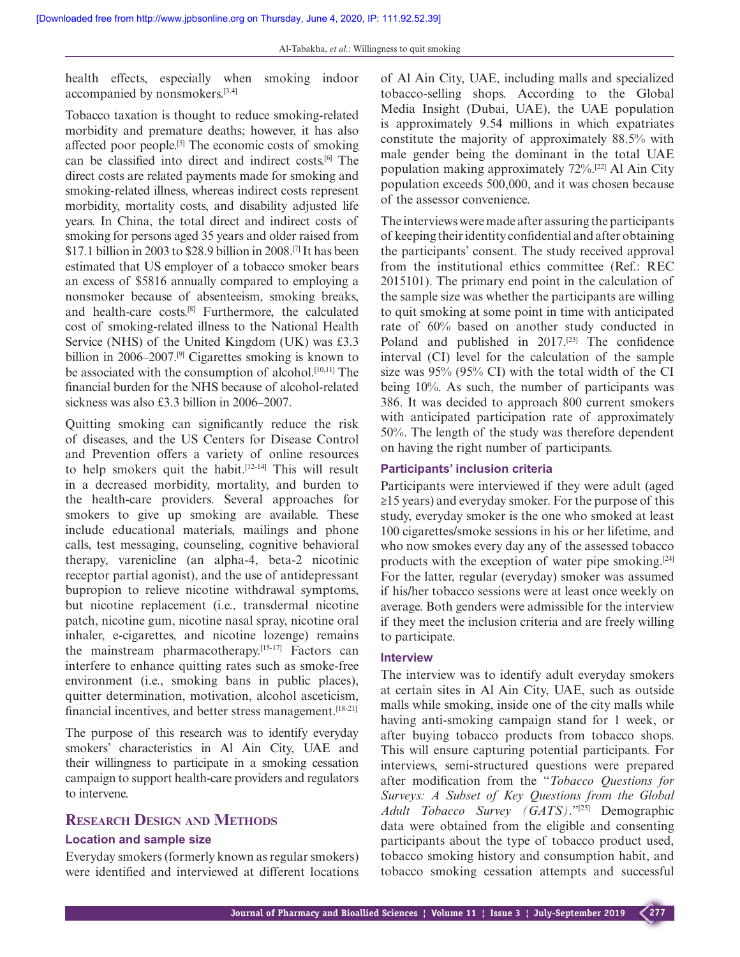health effects, especially when smoking indoor accompanied by nonsmokers.[3,4]

Tobacco taxation is thought to reduce smoking-related morbidity and premature deaths; however, it has also affected poor people.<sup>[5]</sup> The economic costs of smoking can be classified into direct and indirect costs.[6] The direct costs are related payments made for smoking and smoking-related illness, whereas indirect costs represent morbidity, mortality costs, and disability adjusted life years. In China, the total direct and indirect costs of smoking for persons aged 35 years and older raised from \$17.1 billion in 2003 to \$28.9 billion in 2008.[7] It has been estimated that US employer of a tobacco smoker bears an excess of \$5816 annually compared to employing a nonsmoker because of absenteeism, smoking breaks, and health-care costs.[8] Furthermore, the calculated cost of smoking-related illness to the National Health Service (NHS) of the United Kingdom (UK) was £3.3 billion in 2006–2007.<sup>[9]</sup> Cigarettes smoking is known to be associated with the consumption of alcohol.<sup>[10,11]</sup> The financial burden for the NHS because of alcohol-related sickness was also £3.3 billion in 2006–2007.

Quitting smoking can significantly reduce the risk of diseases, and the US Centers for Disease Control and Prevention offers a variety of online resources to help smokers quit the habit.[12-14] This will result in a decreased morbidity, mortality, and burden to the health-care providers. Several approaches for smokers to give up smoking are available. These include educational materials, mailings and phone calls, test messaging, counseling, cognitive behavioral therapy, varenicline (an alpha-4, beta-2 nicotinic receptor partial agonist), and the use of antidepressant bupropion to relieve nicotine withdrawal symptoms, but nicotine replacement (i.e., transdermal nicotine patch, nicotine gum, nicotine nasal spray, nicotine oral inhaler, e-cigarettes, and nicotine lozenge) remains the mainstream pharmacotherapy.<sup>[15-17]</sup> Factors can interfere to enhance quitting rates such as smoke-free environment (i.e., smoking bans in public places), quitter determination, motivation, alcohol asceticism, financial incentives, and better stress management.<sup>[18-21]</sup>

The purpose of this research was to identify everyday smokers' characteristics in Al Ain City, UAE and their willingness to participate in a smoking cessation campaign to support health-care providers and regulators to intervene.

## **Research Design and Methods**

#### **Location and sample size**

Everyday smokers (formerly known as regular smokers) were identified and interviewed at different locations of Al Ain City, UAE, including malls and specialized tobacco-selling shops. According to the Global Media Insight (Dubai, UAE), the UAE population is approximately 9.54 millions in which expatriates constitute the majority of approximately 88.5% with male gender being the dominant in the total UAE population making approximately 72%.[22] Al Ain City population exceeds 500,000, and it was chosen because of the assessor convenience.

The interviews were made after assuring the participants of keeping their identity confidential and after obtaining the participants' consent. The study received approval from the institutional ethics committee (Ref.: REC 2015101). The primary end point in the calculation of the sample size was whether the participants are willing to quit smoking at some point in time with anticipated rate of 60% based on another study conducted in Poland and published in 2017.<sup>[23]</sup> The confidence interval (CI) level for the calculation of the sample size was 95% (95% CI) with the total width of the CI being 10%. As such, the number of participants was 386. It was decided to approach 800 current smokers with anticipated participation rate of approximately 50%. The length of the study was therefore dependent on having the right number of participants.

#### **Participants' inclusion criteria**

Participants were interviewed if they were adult (aged ≥15 years) and everyday smoker. For the purpose of this study, everyday smoker is the one who smoked at least 100 cigarettes/smoke sessions in his or her lifetime, and who now smokes every day any of the assessed tobacco products with the exception of water pipe smoking.[24] For the latter, regular (everyday) smoker was assumed if his/her tobacco sessions were at least once weekly on average. Both genders were admissible for the interview if they meet the inclusion criteria and are freely willing to participate.

#### **Interview**

The interview was to identify adult everyday smokers at certain sites in Al Ain City, UAE, such as outside malls while smoking, inside one of the city malls while having anti-smoking campaign stand for 1 week, or after buying tobacco products from tobacco shops. This will ensure capturing potential participants. For interviews, semi-structured questions were prepared after modification from the "*Tobacco Questions for Surveys: A Subset of Key Questions from the Global Adult Tobacco Survey (GATS)*."[25] Demographic data were obtained from the eligible and consenting participants about the type of tobacco product used, tobacco smoking history and consumption habit, and tobacco smoking cessation attempts and successful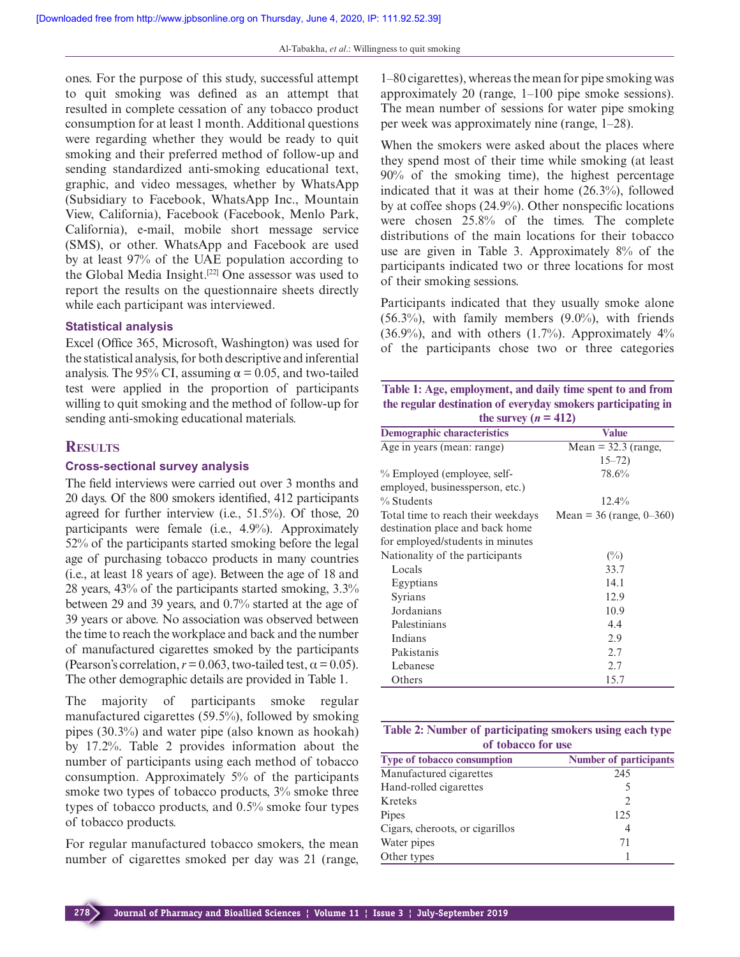ones. For the purpose of this study, successful attempt to quit smoking was defined as an attempt that resulted in complete cessation of any tobacco product consumption for at least 1 month. Additional questions were regarding whether they would be ready to quit smoking and their preferred method of follow-up and sending standardized anti-smoking educational text, graphic, and video messages, whether by WhatsApp (Subsidiary to Facebook, WhatsApp Inc., Mountain View, California), Facebook (Facebook, Menlo Park, California), e-mail, mobile short message service (SMS), or other. WhatsApp and Facebook are used by at least 97% of the UAE population according to the Global Media Insight.[22] One assessor was used to report the results on the questionnaire sheets directly while each participant was interviewed.

#### **Statistical analysis**

Excel (Office 365, Microsoft, Washington) was used for the statistical analysis, for both descriptive and inferential analysis. The 95% CI, assuming  $\alpha$  = 0.05, and two-tailed test were applied in the proportion of participants willing to quit smoking and the method of follow-up for sending anti-smoking educational materials.

#### **Results**

#### **Cross-sectional survey analysis**

The field interviews were carried out over 3 months and 20 days. Of the 800 smokers identified, 412 participants agreed for further interview (i.e., 51.5%). Of those, 20 participants were female (i.e., 4.9%). Approximately 52% of the participants started smoking before the legal age of purchasing tobacco products in many countries (i.e., at least 18 years of age). Between the age of 18 and 28 years, 43% of the participants started smoking, 3.3% between 29 and 39 years, and 0.7% started at the age of 39 years or above. No association was observed between the time to reach the workplace and back and the number of manufactured cigarettes smoked by the participants (Pearson's correlation,  $r = 0.063$ , two-tailed test,  $\alpha = 0.05$ ). The other demographic details are provided in Table 1.

The majority of participants smoke regular manufactured cigarettes (59.5%), followed by smoking pipes (30.3%) and water pipe (also known as hookah) by 17.2%. Table 2 provides information about the number of participants using each method of tobacco consumption. Approximately 5% of the participants smoke two types of tobacco products,  $3\%$  smoke three types of tobacco products, and 0.5% smoke four types of tobacco products.

For regular manufactured tobacco smokers, the mean number of cigarettes smoked per day was 21 (range,

1–80 cigarettes), whereas the mean for pipe smoking was approximately 20 (range, 1–100 pipe smoke sessions). The mean number of sessions for water pipe smoking per week was approximately nine (range, 1–28).

When the smokers were asked about the places where they spend most of their time while smoking (at least 90% of the smoking time), the highest percentage indicated that it was at their home (26.3%), followed by at coffee shops (24.9%). Other nonspecific locations were chosen 25.8% of the times. The complete distributions of the main locations for their tobacco use are given in Table 3. Approximately 8% of the participants indicated two or three locations for most of their smoking sessions.

Participants indicated that they usually smoke alone  $(56.3\%)$ , with family members  $(9.0\%)$ , with friends  $(36.9\%)$ , and with others  $(1.7\%)$ . Approximately  $4\%$ of the participants chose two or three categories

**Table 1: Age, employment, and daily time spent to and from the regular destination of everyday smokers participating in**  the survey  $(n - 412)$ 

| the survey $(n - 412)$             |                            |  |
|------------------------------------|----------------------------|--|
| <b>Demographic characteristics</b> | <b>Value</b>               |  |
| Age in years (mean: range)         | Mean = $32.3$ (range,      |  |
|                                    | $15 - 72$                  |  |
| % Employed (employee, self-        | 78.6%                      |  |
| employed, businessperson, etc.)    |                            |  |
| % Students                         | $12.4\%$                   |  |
| Total time to reach their weekdays | Mean = $36$ (range, 0–360) |  |
| destination place and back home    |                            |  |
| for employed/students in minutes   |                            |  |
| Nationality of the participants    | $(\%)$                     |  |
| Locals                             | 33.7                       |  |
| Egyptians                          | 14.1                       |  |
| Syrians                            | 12.9                       |  |
| Jordanians                         | 10.9                       |  |
| Palestinians                       | 4.4                        |  |
| Indians                            | 2.9                        |  |
| Pakistanis                         | 2.7                        |  |
| Lebanese                           | 2.7                        |  |
| Others                             | 15.7                       |  |

|                    | Table 2: Number of participating smokers using each type |  |
|--------------------|----------------------------------------------------------|--|
| of tobacco for use |                                                          |  |

| <b>Type of tobacco consumption</b> | <b>Number of participants</b> |
|------------------------------------|-------------------------------|
| Manufactured cigarettes            | 245                           |
| Hand-rolled cigarettes             |                               |
| Kreteks                            | $\mathcal{D}$                 |
| Pipes                              | 125                           |
| Cigars, cheroots, or cigarillos    | 4                             |
| Water pipes                        | 71                            |
| Other types                        |                               |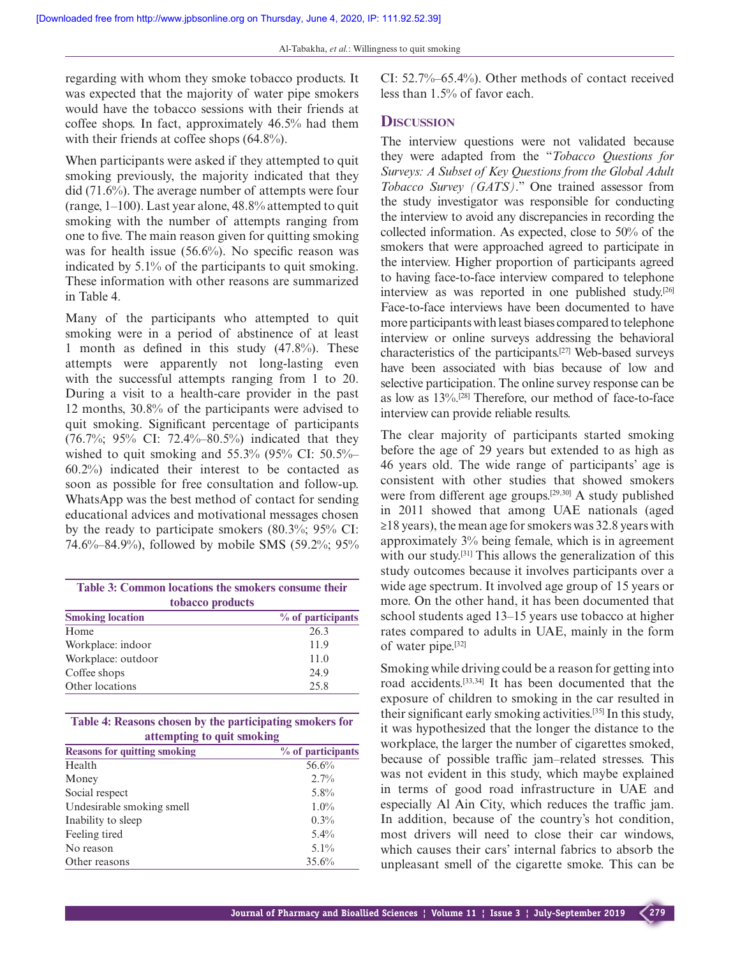regarding with whom they smoke tobacco products. It was expected that the majority of water pipe smokers would have the tobacco sessions with their friends at coffee shops. In fact, approximately 46.5% had them with their friends at coffee shops  $(64.8\%)$ .

When participants were asked if they attempted to quit smoking previously, the majority indicated that they did (71.6%). The average number of attempts were four (range, 1–100). Last year alone, 48.8% attempted to quit smoking with the number of attempts ranging from one to five. The main reason given for quitting smoking was for health issue (56.6%). No specific reason was indicated by 5.1% of the participants to quit smoking. These information with other reasons are summarized in Table 4.

Many of the participants who attempted to quit smoking were in a period of abstinence of at least 1 month as defined in this study (47.8%). These attempts were apparently not long-lasting even with the successful attempts ranging from 1 to 20. During a visit to a health-care provider in the past 12 months, 30.8% of the participants were advised to quit smoking. Significant percentage of participants (76.7%; 95% CI: 72.4%–80.5%) indicated that they wished to quit smoking and  $55.3\%$  (95% CI:  $50.5\%$ 60.2%) indicated their interest to be contacted as soon as possible for free consultation and follow-up. WhatsApp was the best method of contact for sending educational advices and motivational messages chosen by the ready to participate smokers (80.3%; 95% CI: 74.6%–84.9%), followed by mobile SMS (59.2%; 95%

| Table 3: Common locations the smokers consume their |                     |  |  |
|-----------------------------------------------------|---------------------|--|--|
| tobacco products                                    |                     |  |  |
| <b>Smoking location</b>                             | $%$ of participants |  |  |
| Home                                                | 26.3                |  |  |
| Workplace: indoor                                   | 11.9                |  |  |
| Workplace: outdoor                                  | 11.0                |  |  |
| Coffee shops                                        | 24.9                |  |  |
| Other locations                                     | 25.8                |  |  |

**Table 4: Reasons chosen by the participating smokers for attempting to quit smoking**

| <b>Reasons for quitting smoking</b> | $%$ of participants |
|-------------------------------------|---------------------|
| Health                              | 56.6%               |
| Money                               | $2.7\%$             |
| Social respect                      | $5.8\%$             |
| Undesirable smoking smell           | $1.0\%$             |
| Inability to sleep                  | 0.3%                |
| Feeling tired                       | $5.4\%$             |
| No reason                           | $5.1\%$             |
| Other reasons                       | 35.6%               |

CI: 52.7%–65.4%). Other methods of contact received less than 1.5% of favor each.

# **Discussion**

The interview questions were not validated because they were adapted from the "*Tobacco Questions for Surveys: A Subset of Key Questions from the Global Adult Tobacco Survey (GATS)*." One trained assessor from the study investigator was responsible for conducting the interview to avoid any discrepancies in recording the collected information. As expected, close to 50% of the smokers that were approached agreed to participate in the interview. Higher proportion of participants agreed to having face-to-face interview compared to telephone interview as was reported in one published study.[26] Face-to-face interviews have been documented to have more participants with least biases compared to telephone interview or online surveys addressing the behavioral characteristics of the participants.[27] Web-based surveys have been associated with bias because of low and selective participation. The online survey response can be as low as 13%.[28] Therefore, our method of face-to-face interview can provide reliable results.

The clear majority of participants started smoking before the age of 29 years but extended to as high as 46 years old. The wide range of participants' age is consistent with other studies that showed smokers were from different age groups.[29,30] A study published in 2011 showed that among UAE nationals (aged  $\geq$ 18 years), the mean age for smokers was 32.8 years with approximately 3% being female, which is in agreement with our study.<sup>[31]</sup> This allows the generalization of this study outcomes because it involves participants over a wide age spectrum. It involved age group of 15 years or more. On the other hand, it has been documented that school students aged 13–15 years use tobacco at higher rates compared to adults in UAE, mainly in the form of water pipe.[32]

Smoking while driving could be a reason for getting into road accidents.[33,34] It has been documented that the exposure of children to smoking in the car resulted in their significant early smoking activities.[35] In this study, it was hypothesized that the longer the distance to the workplace, the larger the number of cigarettes smoked, because of possible traffic jam–related stresses. This was not evident in this study, which maybe explained in terms of good road infrastructure in UAE and especially Al Ain City, which reduces the traffic jam. In addition, because of the country's hot condition, most drivers will need to close their car windows, which causes their cars' internal fabrics to absorb the unpleasant smell of the cigarette smoke. This can be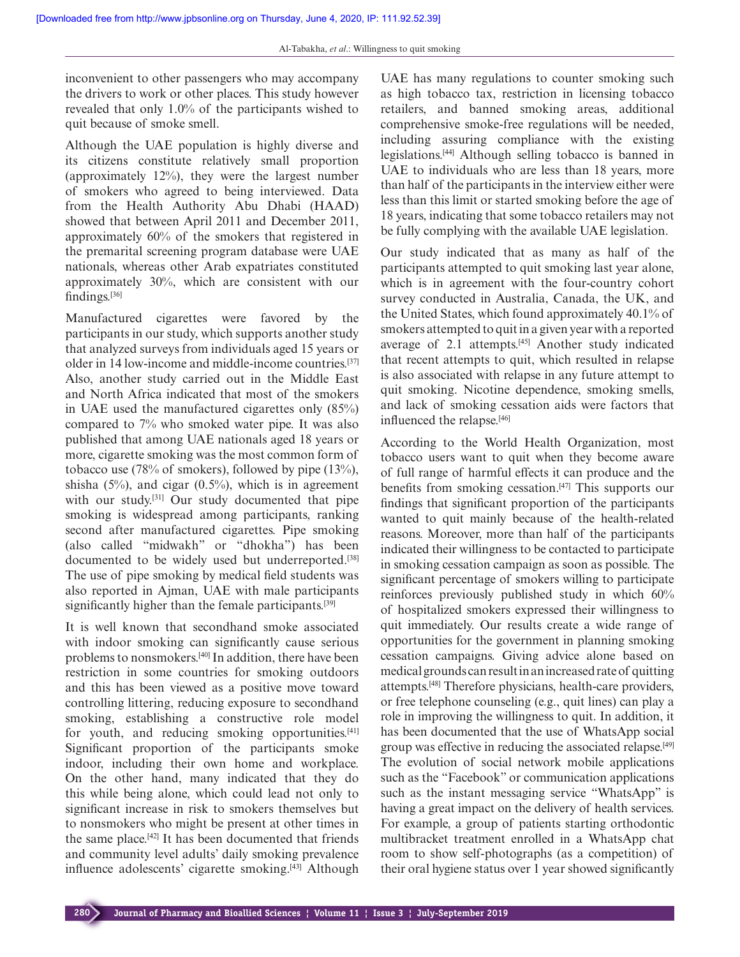inconvenient to other passengers who may accompany the drivers to work or other places. This study however revealed that only 1.0% of the participants wished to quit because of smoke smell.

Although the UAE population is highly diverse and its citizens constitute relatively small proportion (approximately 12%), they were the largest number of smokers who agreed to being interviewed. Data from the Health Authority Abu Dhabi (HAAD) showed that between April 2011 and December 2011, approximately 60% of the smokers that registered in the premarital screening program database were UAE nationals, whereas other Arab expatriates constituted approximately 30%, which are consistent with our findings.[36]

Manufactured cigarettes were favored by the participants in our study, which supports another study that analyzed surveys from individuals aged 15 years or older in 14 low-income and middle-income countries.[37] Also, another study carried out in the Middle East and North Africa indicated that most of the smokers in UAE used the manufactured cigarettes only (85%) compared to 7% who smoked water pipe. It was also published that among UAE nationals aged 18 years or more, cigarette smoking was the most common form of tobacco use (78% of smokers), followed by pipe (13%), shisha  $(5\%)$ , and cigar  $(0.5\%)$ , which is in agreement with our study.<sup>[31]</sup> Our study documented that pipe smoking is widespread among participants, ranking second after manufactured cigarettes. Pipe smoking (also called "midwakh" or "dhokha") has been documented to be widely used but underreported.<sup>[38]</sup> The use of pipe smoking by medical field students was also reported in Ajman, UAE with male participants significantly higher than the female participants.<sup>[39]</sup>

It is well known that secondhand smoke associated with indoor smoking can significantly cause serious problems to nonsmokers.[40] In addition, there have been restriction in some countries for smoking outdoors and this has been viewed as a positive move toward controlling littering, reducing exposure to secondhand smoking, establishing a constructive role model for youth, and reducing smoking opportunities.<sup>[41]</sup> Significant proportion of the participants smoke indoor, including their own home and workplace. On the other hand, many indicated that they do this while being alone, which could lead not only to significant increase in risk to smokers themselves but to nonsmokers who might be present at other times in the same place.[42] It has been documented that friends and community level adults' daily smoking prevalence influence adolescents' cigarette smoking.[43] Although UAE has many regulations to counter smoking such as high tobacco tax, restriction in licensing tobacco retailers, and banned smoking areas, additional comprehensive smoke-free regulations will be needed, including assuring compliance with the existing legislations.[44] Although selling tobacco is banned in UAE to individuals who are less than 18 years, more than half of the participants in the interview either were less than this limit or started smoking before the age of 18 years, indicating that some tobacco retailers may not be fully complying with the available UAE legislation.

Our study indicated that as many as half of the participants attempted to quit smoking last year alone, which is in agreement with the four-country cohort survey conducted in Australia, Canada, the UK, and the United States, which found approximately 40.1% of smokers attempted to quit in a given year with a reported average of 2.1 attempts.<sup>[45]</sup> Another study indicated that recent attempts to quit, which resulted in relapse is also associated with relapse in any future attempt to quit smoking. Nicotine dependence, smoking smells, and lack of smoking cessation aids were factors that influenced the relapse.<sup>[46]</sup>

According to the World Health Organization, most tobacco users want to quit when they become aware of full range of harmful effects it can produce and the benefits from smoking cessation.[47] This supports our findings that significant proportion of the participants wanted to quit mainly because of the health-related reasons. Moreover, more than half of the participants indicated their willingness to be contacted to participate in smoking cessation campaign as soon as possible. The significant percentage of smokers willing to participate reinforces previously published study in which 60% of hospitalized smokers expressed their willingness to quit immediately. Our results create a wide range of opportunities for the government in planning smoking cessation campaigns. Giving advice alone based on medical grounds can result in an increased rate of quitting attempts.[48] Therefore physicians, health-care providers, or free telephone counseling (e.g., quit lines) can play a role in improving the willingness to quit. In addition, it has been documented that the use of WhatsApp social group was effective in reducing the associated relapse.[49] The evolution of social network mobile applications such as the "Facebook" or communication applications such as the instant messaging service "WhatsApp" is having a great impact on the delivery of health services. For example, a group of patients starting orthodontic multibracket treatment enrolled in a WhatsApp chat room to show self-photographs (as a competition) of their oral hygiene status over 1 year showed significantly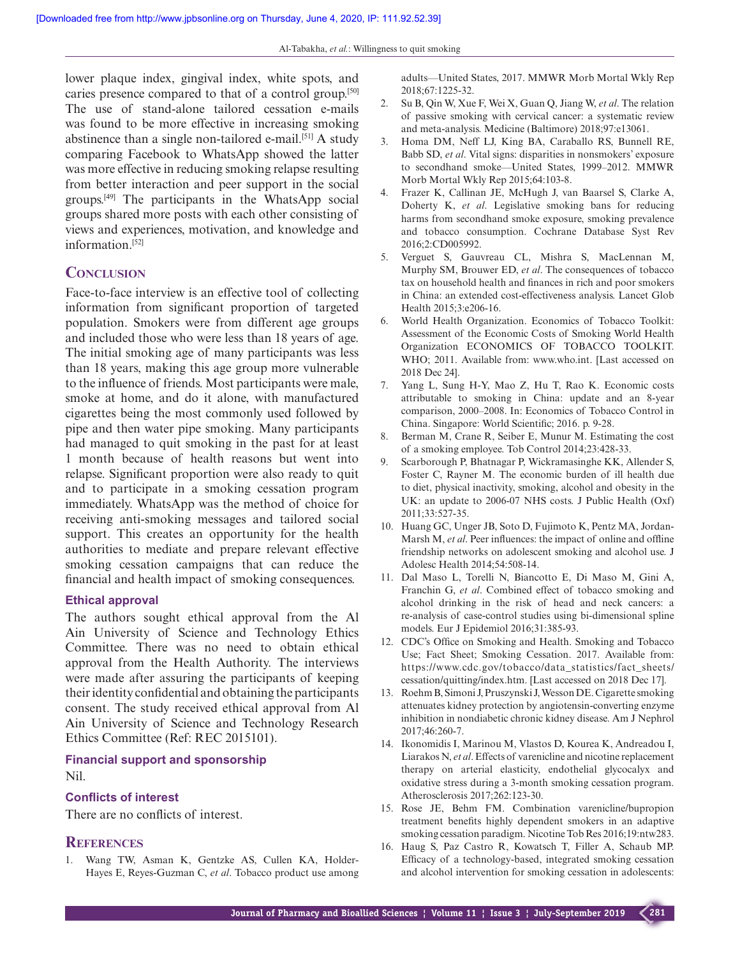lower plaque index, gingival index, white spots, and caries presence compared to that of a control group.[50] The use of stand-alone tailored cessation e-mails was found to be more effective in increasing smoking abstinence than a single non-tailored e-mail.<sup>[51]</sup> A study comparing Facebook to WhatsApp showed the latter was more effective in reducing smoking relapse resulting from better interaction and peer support in the social groups.[49] The participants in the WhatsApp social groups shared more posts with each other consisting of views and experiences, motivation, and knowledge and information.[52]

# **Conclusion**

Face-to-face interview is an effective tool of collecting information from significant proportion of targeted population. Smokers were from different age groups and included those who were less than 18 years of age. The initial smoking age of many participants was less than 18 years, making this age group more vulnerable to the influence of friends. Most participants were male, smoke at home, and do it alone, with manufactured cigarettes being the most commonly used followed by pipe and then water pipe smoking. Many participants had managed to quit smoking in the past for at least 1 month because of health reasons but went into relapse. Significant proportion were also ready to quit and to participate in a smoking cessation program immediately. WhatsApp was the method of choice for receiving anti-smoking messages and tailored social support. This creates an opportunity for the health authorities to mediate and prepare relevant effective smoking cessation campaigns that can reduce the financial and health impact of smoking consequences.

# **Ethical approval**

The authors sought ethical approval from the Al Ain University of Science and Technology Ethics Committee. There was no need to obtain ethical approval from the Health Authority. The interviews were made after assuring the participants of keeping their identity confidential and obtaining the participants consent. The study received ethical approval from Al Ain University of Science and Technology Research Ethics Committee (Ref: REC 2015101).

**Financial support and sponsorship** Nil.

#### **Conflicts of interest**

There are no conflicts of interest.

#### **References**

1. Wang TW, Asman K, Gentzke AS, Cullen KA, Holder-Hayes E, Reyes-Guzman C, *et al*. Tobacco product use among adults—United States, 2017. MMWR Morb Mortal Wkly Rep 2018;67:1225-32.

- 2. Su B, Qin W, Xue F, Wei X, Guan Q, Jiang W, *et al*. The relation of passive smoking with cervical cancer: a systematic review and meta-analysis. Medicine (Baltimore) 2018;97:e13061.
- 3. Homa DM, Neff LJ, King BA, Caraballo RS, Bunnell RE, Babb SD, *et al*. Vital signs: disparities in nonsmokers' exposure to secondhand smoke—United States, 1999–2012. MMWR Morb Mortal Wkly Rep 2015;64:103-8.
- 4. Frazer K, Callinan JE, McHugh J, van Baarsel S, Clarke A, Doherty K, *et al*. Legislative smoking bans for reducing harms from secondhand smoke exposure, smoking prevalence and tobacco consumption. Cochrane Database Syst Rev 2016;2:CD005992.
- 5. Verguet S, Gauvreau CL, Mishra S, MacLennan M, Murphy SM, Brouwer ED, *et al*. The consequences of tobacco tax on household health and finances in rich and poor smokers in China: an extended cost-effectiveness analysis. Lancet Glob Health 2015;3:e206-16.
- 6. World Health Organization. Economics of Tobacco Toolkit: Assessment of the Economic Costs of Smoking World Health Organization ECONOMICS OF TOBACCO TOOLKIT. WHO; 2011. Available from: www.who.int. [Last accessed on 2018 Dec 24].
- 7. Yang L, Sung H-Y, Mao Z, Hu T, Rao K. Economic costs attributable to smoking in China: update and an 8-year comparison, 2000–2008. In: Economics of Tobacco Control in China. Singapore: World Scientific; 2016. p. 9-28.
- 8. Berman M, Crane R, Seiber E, Munur M. Estimating the cost of a smoking employee. Tob Control 2014;23:428-33.
- 9. Scarborough P, Bhatnagar P, Wickramasinghe KK, Allender S, Foster C, Rayner M. The economic burden of ill health due to diet, physical inactivity, smoking, alcohol and obesity in the UK: an update to 2006-07 NHS costs. J Public Health (Oxf) 2011;33:527-35.
- 10. Huang GC, Unger JB, Soto D, Fujimoto K, Pentz MA, Jordan-Marsh M, *et al*. Peer influences: the impact of online and offline friendship networks on adolescent smoking and alcohol use. J Adolesc Health 2014;54:508-14.
- 11. Dal Maso L, Torelli N, Biancotto E, Di Maso M, Gini A, Franchin G, *et al*. Combined effect of tobacco smoking and alcohol drinking in the risk of head and neck cancers: a re-analysis of case-control studies using bi-dimensional spline models. Eur J Epidemiol 2016;31:385-93.
- 12. CDC's Office on Smoking and Health. Smoking and Tobacco Use; Fact Sheet; Smoking Cessation. 2017. Available from: https://www.cdc.gov/tobacco/data\_statistics/fact\_sheets/ cessation/quitting/index.htm. [Last accessed on 2018 Dec 17].
- 13. Roehm B, Simoni J, Pruszynski J, Wesson DE. Cigarette smoking attenuates kidney protection by angiotensin-converting enzyme inhibition in nondiabetic chronic kidney disease. Am J Nephrol 2017;46:260-7.
- 14. Ikonomidis I, Marinou M, Vlastos D, Kourea K, Andreadou I, Liarakos N, *et al*. Effects of varenicline and nicotine replacement therapy on arterial elasticity, endothelial glycocalyx and oxidative stress during a 3-month smoking cessation program. Atherosclerosis 2017;262:123-30.
- 15. Rose JE, Behm FM. Combination varenicline/bupropion treatment benefits highly dependent smokers in an adaptive smoking cessation paradigm. Nicotine Tob Res 2016;19:ntw283.
- 16. Haug S, Paz Castro R, Kowatsch T, Filler A, Schaub MP. Efficacy of a technology-based, integrated smoking cessation and alcohol intervention for smoking cessation in adolescents: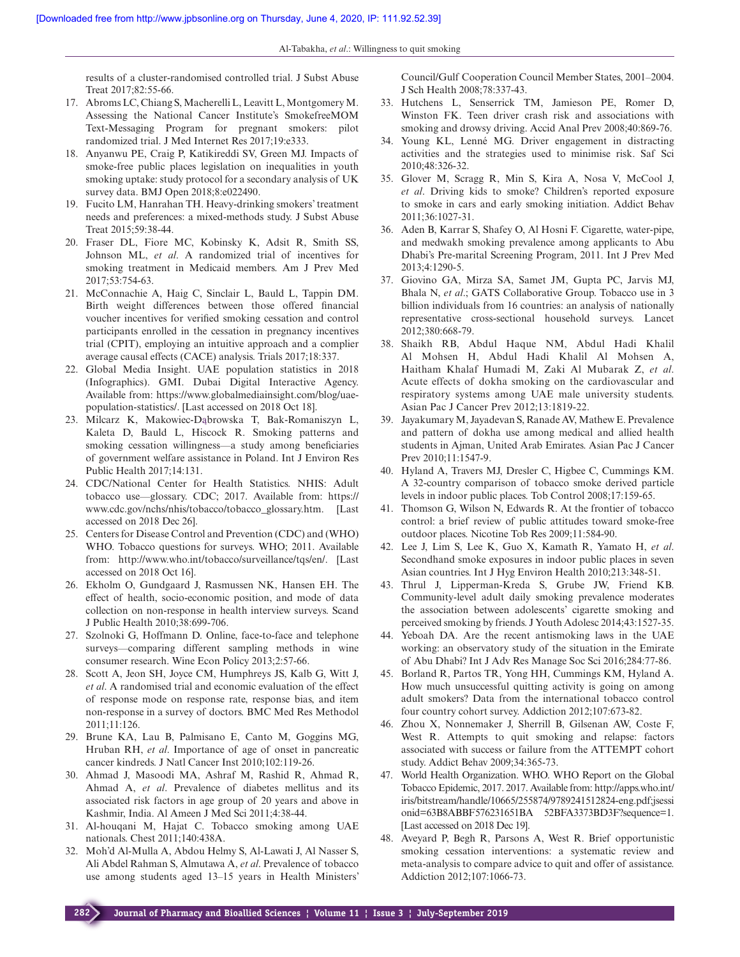results of a cluster-randomised controlled trial. J Subst Abuse Treat 2017;82:55-66.

- 17. Abroms LC, Chiang S, Macherelli L, Leavitt L, Montgomery M. Assessing the National Cancer Institute's SmokefreeMOM Text-Messaging Program for pregnant smokers: pilot randomized trial. J Med Internet Res 2017;19:e333.
- 18. Anyanwu PE, Craig P, Katikireddi SV, Green MJ. Impacts of smoke-free public places legislation on inequalities in youth smoking uptake: study protocol for a secondary analysis of UK survey data. BMJ Open 2018;8:e022490.
- 19. Fucito LM, Hanrahan TH. Heavy-drinking smokers' treatment needs and preferences: a mixed-methods study. J Subst Abuse Treat 2015;59:38-44.
- 20. Fraser DL, Fiore MC, Kobinsky K, Adsit R, Smith SS, Johnson ML, *et al*. A randomized trial of incentives for smoking treatment in Medicaid members. Am J Prev Med 2017;53:754-63.
- 21. McConnachie A, Haig C, Sinclair L, Bauld L, Tappin DM. Birth weight differences between those offered financial voucher incentives for verified smoking cessation and control participants enrolled in the cessation in pregnancy incentives trial (CPIT), employing an intuitive approach and a complier average causal effects (CACE) analysis. Trials 2017;18:337.
- 22. Global Media Insight. UAE population statistics in 2018 (Infographics). GMI. Dubai Digital Interactive Agency. Available from: https://www.globalmediainsight.com/blog/uaepopulation-statistics/. [Last accessed on 2018 Oct 18].
- 23. Milcarz K, Makowiec-Dąbrowska T, Bak-Romaniszyn L, Kaleta D, Bauld L, Hiscock R. Smoking patterns and smoking cessation willingness—a study among beneficiaries of government welfare assistance in Poland. Int J Environ Res Public Health 2017;14:131.
- 24. CDC/National Center for Health Statistics. NHIS: Adult tobacco use—glossary. CDC; 2017. Available from: https:// www.cdc.gov/nchs/nhis/tobacco/tobacco\_glossary.htm. [Last accessed on 2018 Dec 26].
- 25. Centers for Disease Control and Prevention (CDC) and (WHO) WHO. Tobacco questions for surveys. WHO; 2011. Available from: http://www.who.int/tobacco/surveillance/tqs/en/. [Last accessed on 2018 Oct 16].
- 26. Ekholm O, Gundgaard J, Rasmussen NK, Hansen EH. The effect of health, socio-economic position, and mode of data collection on non-response in health interview surveys. Scand J Public Health 2010;38:699-706.
- 27. Szolnoki G, Hoffmann D. Online, face-to-face and telephone surveys—comparing different sampling methods in wine consumer research. Wine Econ Policy 2013;2:57-66.
- 28. Scott A, Jeon SH, Joyce CM, Humphreys JS, Kalb G, Witt J, *et al*. A randomised trial and economic evaluation of the effect of response mode on response rate, response bias, and item non-response in a survey of doctors. BMC Med Res Methodol 2011;11:126.
- 29. Brune KA, Lau B, Palmisano E, Canto M, Goggins MG, Hruban RH, *et al*. Importance of age of onset in pancreatic cancer kindreds. J Natl Cancer Inst 2010;102:119-26.
- 30. Ahmad J, Masoodi MA, Ashraf M, Rashid R, Ahmad R, Ahmad A, *et al*. Prevalence of diabetes mellitus and its associated risk factors in age group of 20 years and above in Kashmir, India. Al Ameen J Med Sci 2011;4:38-44.
- 31. Al-houqani M, Hajat C. Tobacco smoking among UAE nationals. Chest 2011;140:438A.
- 32. Moh'd Al-Mulla A, Abdou Helmy S, Al-Lawati J, Al Nasser S, Ali Abdel Rahman S, Almutawa A, *et al*. Prevalence of tobacco use among students aged 13–15 years in Health Ministers'

Council/Gulf Cooperation Council Member States, 2001–2004. J Sch Health 2008;78:337-43.

- 33. Hutchens L, Senserrick TM, Jamieson PE, Romer D, Winston FK. Teen driver crash risk and associations with smoking and drowsy driving. Accid Anal Prev 2008;40:869-76.
- 34. Young KL, Lenné MG. Driver engagement in distracting activities and the strategies used to minimise risk. Saf Sci 2010;48:326-32.
- 35. Glover M, Scragg R, Min S, Kira A, Nosa V, McCool J, *et al*. Driving kids to smoke? Children's reported exposure to smoke in cars and early smoking initiation. Addict Behav 2011;36:1027-31.
- 36. Aden B, Karrar S, Shafey O, Al Hosni F. Cigarette, water-pipe, and medwakh smoking prevalence among applicants to Abu Dhabi's Pre-marital Screening Program, 2011. Int J Prev Med 2013;4:1290-5.
- 37. Giovino GA, Mirza SA, Samet JM, Gupta PC, Jarvis MJ, Bhala N, *et al*.; GATS Collaborative Group. Tobacco use in 3 billion individuals from 16 countries: an analysis of nationally representative cross-sectional household surveys. Lancet 2012;380:668-79.
- 38. Shaikh RB, Abdul Haque NM, Abdul Hadi Khalil Al Mohsen H, Abdul Hadi Khalil Al Mohsen A, Haitham Khalaf Humadi M, Zaki Al Mubarak Z, *et al*. Acute effects of dokha smoking on the cardiovascular and respiratory systems among UAE male university students. Asian Pac J Cancer Prev 2012;13:1819-22.
- 39. Jayakumary M, Jayadevan S, Ranade AV, Mathew E. Prevalence and pattern of dokha use among medical and allied health students in Ajman, United Arab Emirates. Asian Pac J Cancer Prev 2010;11:1547-9.
- 40. Hyland A, Travers MJ, Dresler C, Higbee C, Cummings KM. A 32-country comparison of tobacco smoke derived particle levels in indoor public places. Tob Control 2008;17:159-65.
- 41. Thomson G, Wilson N, Edwards R. At the frontier of tobacco control: a brief review of public attitudes toward smoke-free outdoor places. Nicotine Tob Res 2009;11:584-90.
- 42. Lee J, Lim S, Lee K, Guo X, Kamath R, Yamato H, *et al*. Secondhand smoke exposures in indoor public places in seven Asian countries. Int J Hyg Environ Health 2010;213:348-51.
- 43. Thrul J, Lipperman-Kreda S, Grube JW, Friend KB. Community-level adult daily smoking prevalence moderates the association between adolescents' cigarette smoking and perceived smoking by friends. J Youth Adolesc 2014;43:1527-35.
- 44. Yeboah DA. Are the recent antismoking laws in the UAE working: an observatory study of the situation in the Emirate of Abu Dhabi? Int J Adv Res Manage Soc Sci 2016;284:77-86.
- 45. Borland R, Partos TR, Yong HH, Cummings KM, Hyland A. How much unsuccessful quitting activity is going on among adult smokers? Data from the international tobacco control four country cohort survey. Addiction 2012;107:673-82.
- 46. Zhou X, Nonnemaker J, Sherrill B, Gilsenan AW, Coste F, West R. Attempts to quit smoking and relapse: factors associated with success or failure from the ATTEMPT cohort study. Addict Behav 2009;34:365-73.
- 47. World Health Organization. WHO. WHO Report on the Global Tobacco Epidemic, 2017. 2017. Available from: http://apps.who.int/ iris/bitstream/handle/10665/255874/9789241512824-eng.pdf;jsessi onid=63B8ABBF576231651BA 52BFA3373BD3F?sequence=1. [Last accessed on 2018 Dec 19].
- 48. Aveyard P, Begh R, Parsons A, West R. Brief opportunistic smoking cessation interventions: a systematic review and meta-analysis to compare advice to quit and offer of assistance. Addiction 2012;107:1066-73.